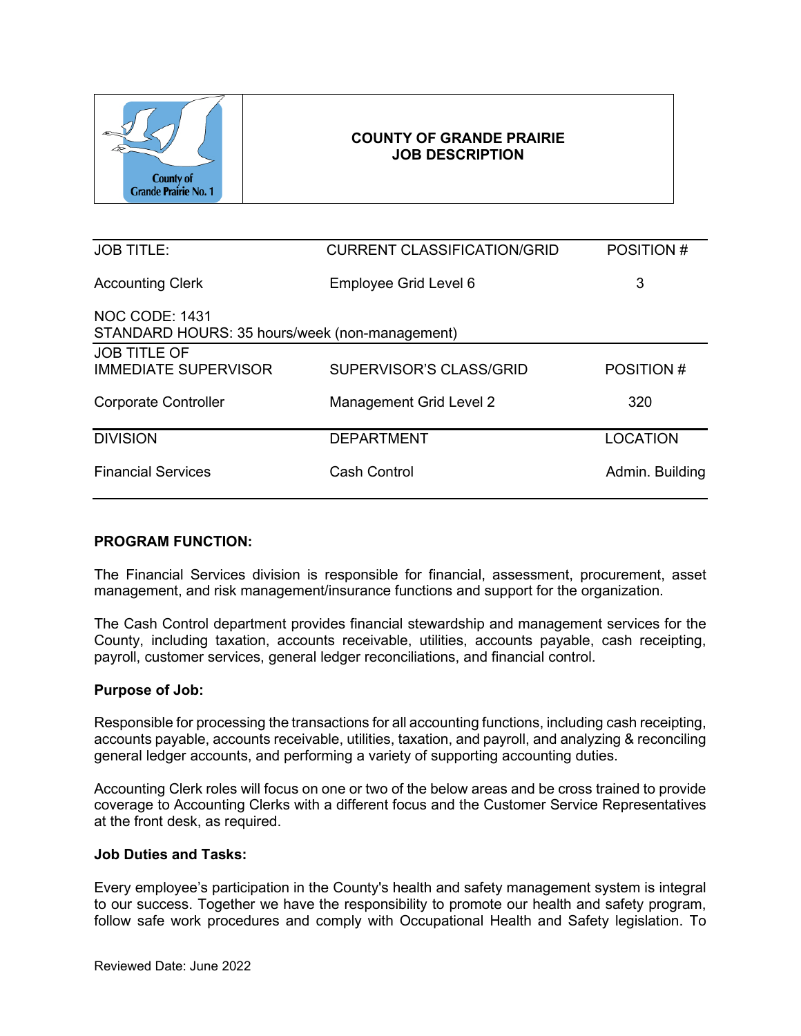

| <b>JOB TITLE:</b>                                                | <b>CURRENT CLASSIFICATION/GRID</b> | POSITION #      |  |  |
|------------------------------------------------------------------|------------------------------------|-----------------|--|--|
| <b>Accounting Clerk</b>                                          | Employee Grid Level 6              | 3               |  |  |
| NOC CODE: 1431<br>STANDARD HOURS: 35 hours/week (non-management) |                                    |                 |  |  |
| <b>JOB TITLE OF</b><br><b>IMMEDIATE SUPERVISOR</b>               | SUPERVISOR'S CLASS/GRID            | POSITION #      |  |  |
| <b>Corporate Controller</b>                                      | Management Grid Level 2            | 320             |  |  |
| <b>DIVISION</b>                                                  | <b>DEPARTMENT</b>                  | <b>LOCATION</b> |  |  |
| <b>Financial Services</b>                                        | Cash Control                       | Admin. Building |  |  |

### **PROGRAM FUNCTION:**

The Financial Services division is responsible for financial, assessment, procurement, asset management, and risk management/insurance functions and support for the organization.

The Cash Control department provides financial stewardship and management services for the County, including taxation, accounts receivable, utilities, accounts payable, cash receipting, payroll, customer services, general ledger reconciliations, and financial control.

### **Purpose of Job:**

Responsible for processing the transactions for all accounting functions, including cash receipting, accounts payable, accounts receivable, utilities, taxation, and payroll, and analyzing & reconciling general ledger accounts, and performing a variety of supporting accounting duties.

Accounting Clerk roles will focus on one or two of the below areas and be cross trained to provide coverage to Accounting Clerks with a different focus and the Customer Service Representatives at the front desk, as required.

#### **Job Duties and Tasks:**

Every employee's participation in the County's health and safety management system is integral to our success. Together we have the responsibility to promote our health and safety program, follow safe work procedures and comply with Occupational Health and Safety legislation. To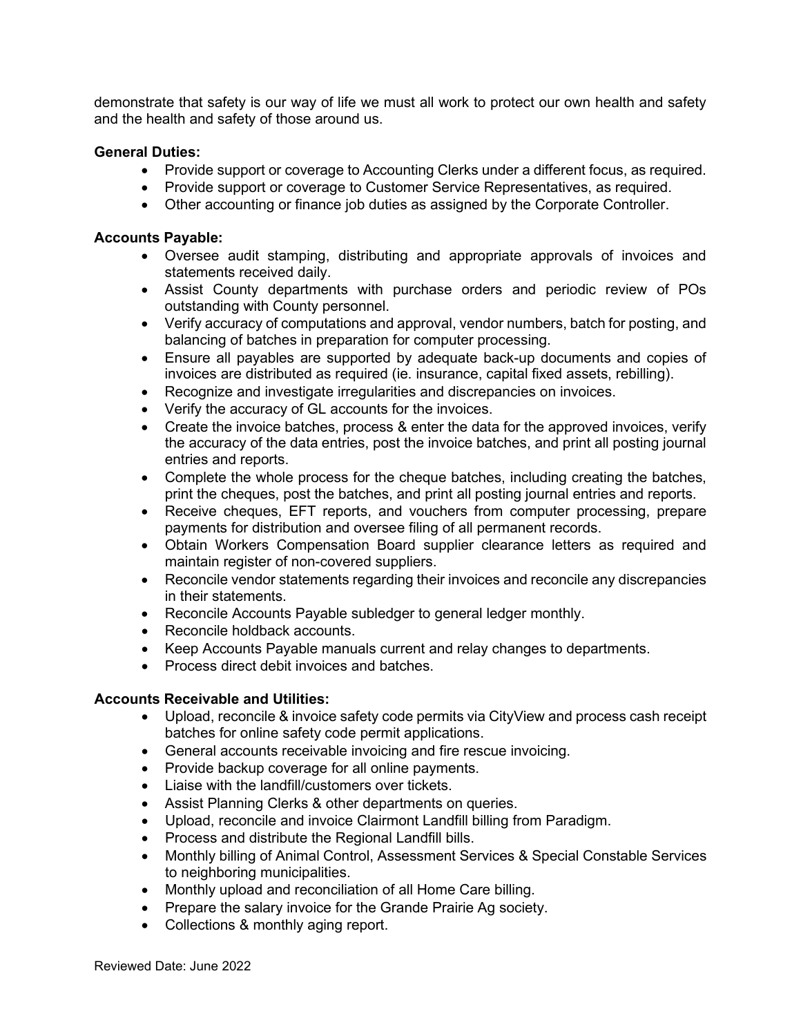demonstrate that safety is our way of life we must all work to protect our own health and safety and the health and safety of those around us.

### **General Duties:**

- Provide support or coverage to Accounting Clerks under a different focus, as required.
- Provide support or coverage to Customer Service Representatives, as required.
- Other accounting or finance job duties as assigned by the Corporate Controller.

### **Accounts Payable:**

- Oversee audit stamping, distributing and appropriate approvals of invoices and statements received daily.
- Assist County departments with purchase orders and periodic review of POs outstanding with County personnel.
- Verify accuracy of computations and approval, vendor numbers, batch for posting, and balancing of batches in preparation for computer processing.
- Ensure all payables are supported by adequate back-up documents and copies of invoices are distributed as required (ie. insurance, capital fixed assets, rebilling).
- Recognize and investigate irregularities and discrepancies on invoices.
- Verify the accuracy of GL accounts for the invoices.
- Create the invoice batches, process & enter the data for the approved invoices, verify the accuracy of the data entries, post the invoice batches, and print all posting journal entries and reports.
- Complete the whole process for the cheque batches, including creating the batches, print the cheques, post the batches, and print all posting journal entries and reports.
- Receive cheques, EFT reports, and vouchers from computer processing, prepare payments for distribution and oversee filing of all permanent records.
- Obtain Workers Compensation Board supplier clearance letters as required and maintain register of non-covered suppliers.
- Reconcile vendor statements regarding their invoices and reconcile any discrepancies in their statements.
- Reconcile Accounts Payable subledger to general ledger monthly.
- Reconcile holdback accounts.
- Keep Accounts Payable manuals current and relay changes to departments.
- Process direct debit invoices and batches.

# **Accounts Receivable and Utilities:**

- Upload, reconcile & invoice safety code permits via CityView and process cash receipt batches for online safety code permit applications.
- General accounts receivable invoicing and fire rescue invoicing.
- Provide backup coverage for all online payments.
- Liaise with the landfill/customers over tickets.
- Assist Planning Clerks & other departments on queries.
- Upload, reconcile and invoice Clairmont Landfill billing from Paradigm.
- Process and distribute the Regional Landfill bills.
- Monthly billing of Animal Control, Assessment Services & Special Constable Services to neighboring municipalities.
- Monthly upload and reconciliation of all Home Care billing.
- Prepare the salary invoice for the Grande Prairie Ag society.
- Collections & monthly aging report.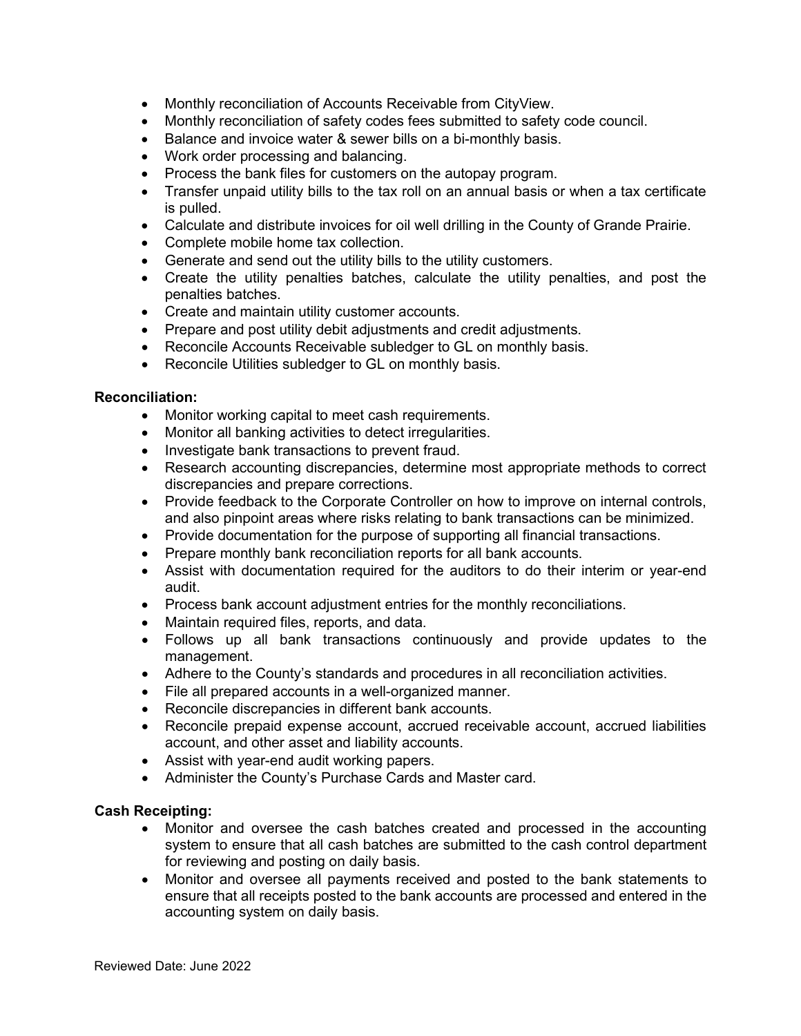- Monthly reconciliation of Accounts Receivable from CityView.
- Monthly reconciliation of safety codes fees submitted to safety code council.
- Balance and invoice water & sewer bills on a bi-monthly basis.
- Work order processing and balancing.
- Process the bank files for customers on the autopay program.
- Transfer unpaid utility bills to the tax roll on an annual basis or when a tax certificate is pulled.
- Calculate and distribute invoices for oil well drilling in the County of Grande Prairie.
- Complete mobile home tax collection.
- Generate and send out the utility bills to the utility customers.
- Create the utility penalties batches, calculate the utility penalties, and post the penalties batches.
- Create and maintain utility customer accounts.
- Prepare and post utility debit adjustments and credit adjustments.
- Reconcile Accounts Receivable subledger to GL on monthly basis.
- Reconcile Utilities subledger to GL on monthly basis.

### **Reconciliation:**

- Monitor working capital to meet cash requirements.
- Monitor all banking activities to detect irregularities.
- Investigate bank transactions to prevent fraud.
- Research accounting discrepancies, determine most appropriate methods to correct discrepancies and prepare corrections.
- Provide feedback to the Corporate Controller on how to improve on internal controls, and also pinpoint areas where risks relating to bank transactions can be minimized.
- Provide documentation for the purpose of supporting all financial transactions.
- Prepare monthly bank reconciliation reports for all bank accounts.
- Assist with documentation required for the auditors to do their interim or year-end audit.
- Process bank account adjustment entries for the monthly reconciliations.
- Maintain required files, reports, and data.
- Follows up all bank transactions continuously and provide updates to the management.
- Adhere to the County's standards and procedures in all reconciliation activities.
- File all prepared accounts in a well-organized manner.
- Reconcile discrepancies in different bank accounts.
- Reconcile prepaid expense account, accrued receivable account, accrued liabilities account, and other asset and liability accounts.
- Assist with year-end audit working papers.
- Administer the County's Purchase Cards and Master card.

### **Cash Receipting:**

- Monitor and oversee the cash batches created and processed in the accounting system to ensure that all cash batches are submitted to the cash control department for reviewing and posting on daily basis.
- Monitor and oversee all payments received and posted to the bank statements to ensure that all receipts posted to the bank accounts are processed and entered in the accounting system on daily basis.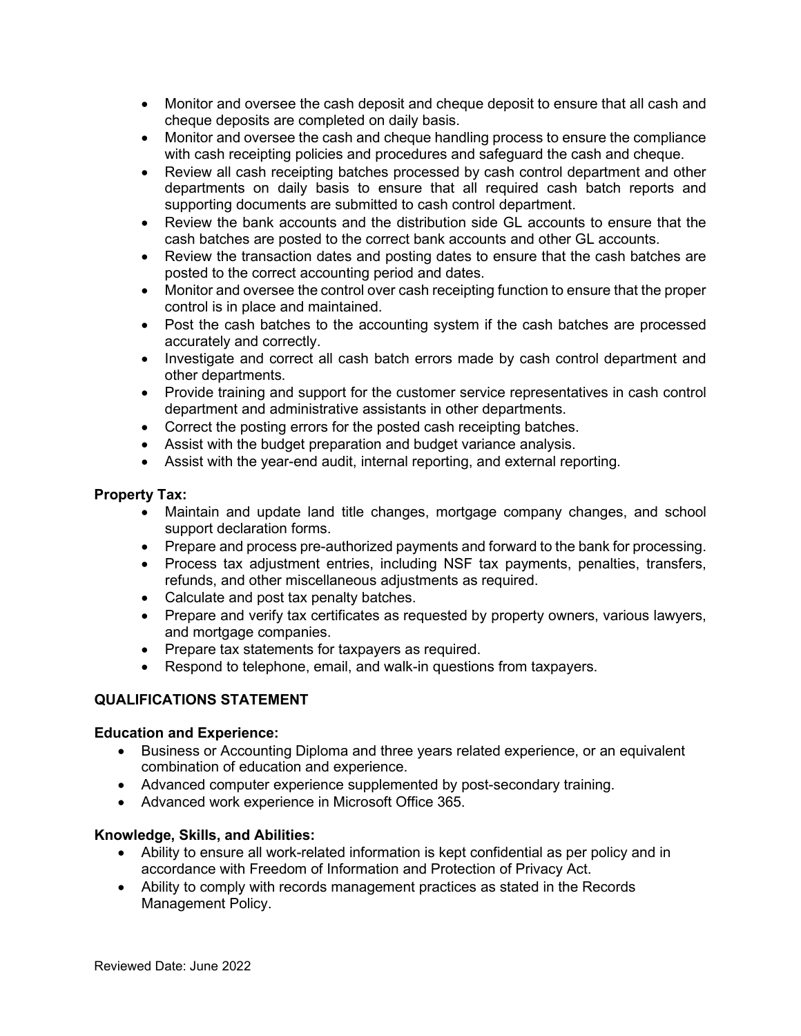- Monitor and oversee the cash deposit and cheque deposit to ensure that all cash and cheque deposits are completed on daily basis.
- Monitor and oversee the cash and cheque handling process to ensure the compliance with cash receipting policies and procedures and safeguard the cash and cheque.
- Review all cash receipting batches processed by cash control department and other departments on daily basis to ensure that all required cash batch reports and supporting documents are submitted to cash control department.
- Review the bank accounts and the distribution side GL accounts to ensure that the cash batches are posted to the correct bank accounts and other GL accounts.
- Review the transaction dates and posting dates to ensure that the cash batches are posted to the correct accounting period and dates.
- Monitor and oversee the control over cash receipting function to ensure that the proper control is in place and maintained.
- Post the cash batches to the accounting system if the cash batches are processed accurately and correctly.
- Investigate and correct all cash batch errors made by cash control department and other departments.
- Provide training and support for the customer service representatives in cash control department and administrative assistants in other departments.
- Correct the posting errors for the posted cash receipting batches.
- Assist with the budget preparation and budget variance analysis.
- Assist with the year-end audit, internal reporting, and external reporting.

# **Property Tax:**

- Maintain and update land title changes, mortgage company changes, and school support declaration forms.
- Prepare and process pre-authorized payments and forward to the bank for processing.
- Process tax adjustment entries, including NSF tax payments, penalties, transfers, refunds, and other miscellaneous adjustments as required.
- Calculate and post tax penalty batches.
- Prepare and verify tax certificates as requested by property owners, various lawyers, and mortgage companies.
- Prepare tax statements for taxpayers as required.
- Respond to telephone, email, and walk-in questions from taxpayers.

# **QUALIFICATIONS STATEMENT**

# **Education and Experience:**

- Business or Accounting Diploma and three years related experience, or an equivalent combination of education and experience.
- Advanced computer experience supplemented by post-secondary training.
- Advanced work experience in Microsoft Office 365.

# **Knowledge, Skills, and Abilities:**

- Ability to ensure all work-related information is kept confidential as per policy and in accordance with Freedom of Information and Protection of Privacy Act.
- Ability to comply with records management practices as stated in the Records Management Policy.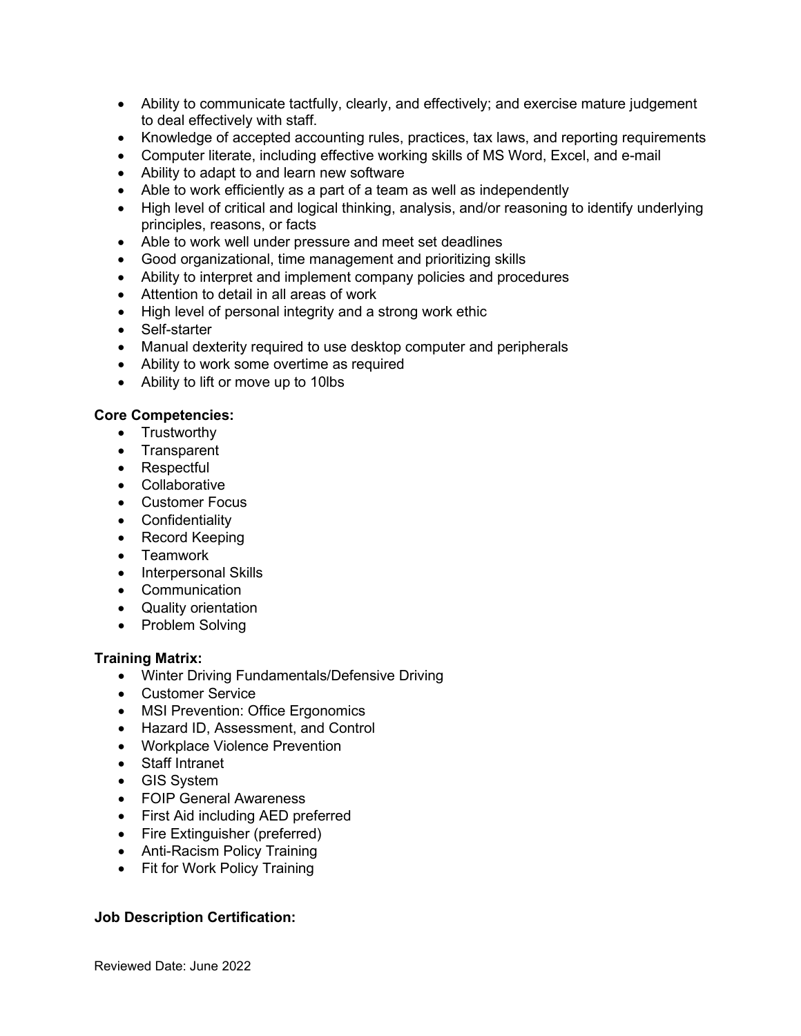- Ability to communicate tactfully, clearly, and effectively; and exercise mature judgement to deal effectively with staff.
- Knowledge of accepted accounting rules, practices, tax laws, and reporting requirements
- Computer literate, including effective working skills of MS Word, Excel, and e-mail
- Ability to adapt to and learn new software
- Able to work efficiently as a part of a team as well as independently
- High level of critical and logical thinking, analysis, and/or reasoning to identify underlying principles, reasons, or facts
- Able to work well under pressure and meet set deadlines
- Good organizational, time management and prioritizing skills
- Ability to interpret and implement company policies and procedures
- Attention to detail in all areas of work
- High level of personal integrity and a strong work ethic
- Self-starter
- Manual dexterity required to use desktop computer and peripherals
- Ability to work some overtime as required
- Ability to lift or move up to 10lbs

### **Core Competencies:**

- Trustworthy
- Transparent
- Respectful
- Collaborative
- Customer Focus
- Confidentiality
- Record Keeping
- Teamwork
- Interpersonal Skills
- Communication
- Quality orientation
- Problem Solving

### **Training Matrix:**

- Winter Driving Fundamentals/Defensive Driving
- Customer Service
- MSI Prevention: Office Ergonomics
- Hazard ID, Assessment, and Control
- Workplace Violence Prevention
- Staff Intranet
- GIS System
- FOIP General Awareness
- First Aid including AED preferred
- Fire Extinguisher (preferred)
- Anti-Racism Policy Training
- Fit for Work Policy Training

# **Job Description Certification:**